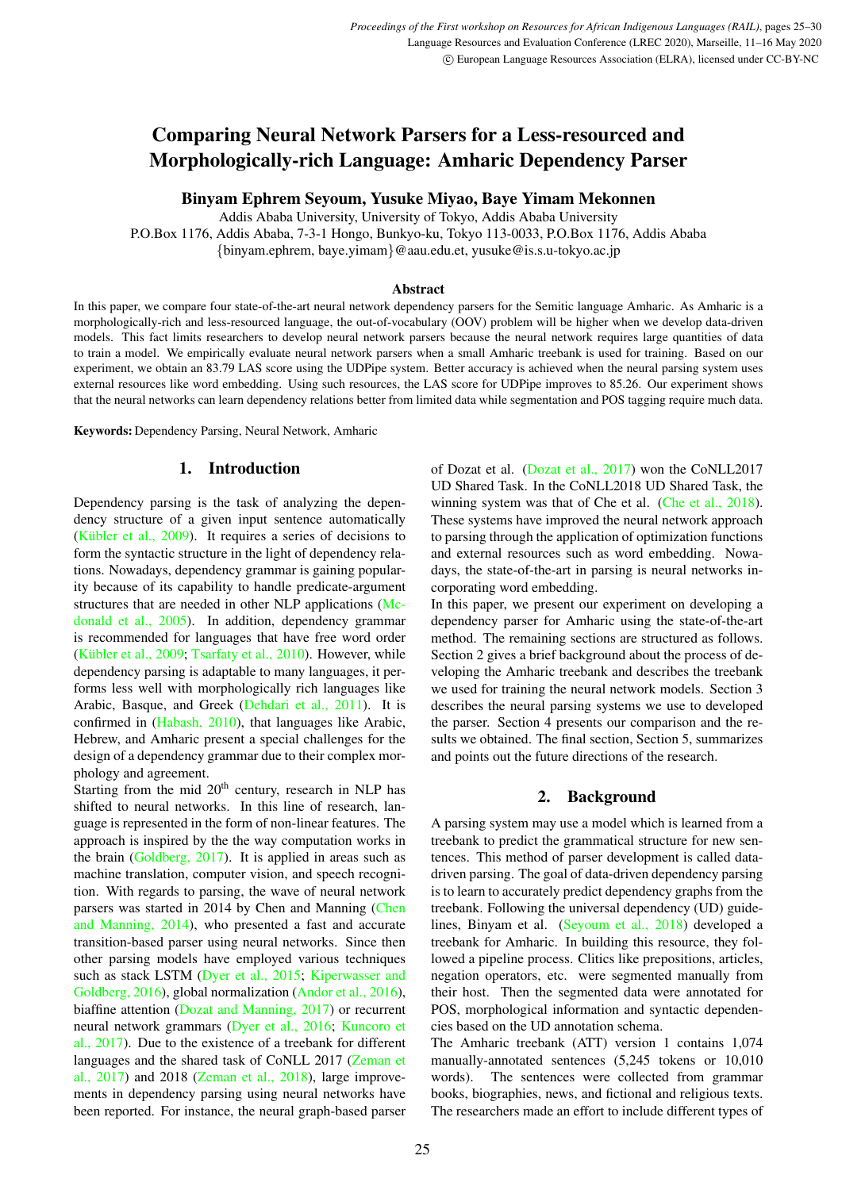# Comparing Neural Network Parsers for a Less-resourced and Morphologically-rich Language: Amharic Dependency Parser

Binyam Ephrem Seyoum, Yusuke Miyao, Baye Yimam Mekonnen

Addis Ababa University, University of Tokyo, Addis Ababa University

P.O.Box 1176, Addis Ababa, 7-3-1 Hongo, Bunkyo-ku, Tokyo 113-0033, P.O.Box 1176, Addis Ababa {binyam.ephrem, baye.yimam}@aau.edu.et, yusuke@is.s.u-tokyo.ac.jp

#### Abstract

In this paper, we compare four state-of-the-art neural network dependency parsers for the Semitic language Amharic. As Amharic is a morphologically-rich and less-resourced language, the out-of-vocabulary (OOV) problem will be higher when we develop data-driven models. This fact limits researchers to develop neural network parsers because the neural network requires large quantities of data to train a model. We empirically evaluate neural network parsers when a small Amharic treebank is used for training. Based on our experiment, we obtain an 83.79 LAS score using the UDPipe system. Better accuracy is achieved when the neural parsing system uses external resources like word embedding. Using such resources, the LAS score for UDPipe improves to 85.26. Our experiment shows that the neural networks can learn dependency relations better from limited data while segmentation and POS tagging require much data.

Keywords: Dependency Parsing, Neural Network, Amharic

## 1. Introduction

Dependency parsing is the task of analyzing the dependency structure of a given input sentence automatically (Kübler et al.,  $2009$ ). It requires a series of decisions to form the syntactic structure in the light of dependency relations. Nowadays, dependency grammar is gaining popularity because of its capability to handle predicate-argument structures that are needed in other NLP applications [\(Mc](#page-4-1)[donald et al., 2005\)](#page-4-1). In addition, dependency grammar is recommended for languages that have free word order (Kübler et al., 2009; [Tsarfaty et al., 2010\)](#page-5-0). However, while dependency parsing is adaptable to many languages, it performs less well with morphologically rich languages like Arabic, Basque, and Greek [\(Dehdari et al., 2011\)](#page-4-2). It is confirmed in [\(Habash, 2010\)](#page-4-3), that languages like Arabic, Hebrew, and Amharic present a special challenges for the design of a dependency grammar due to their complex morphology and agreement.

Starting from the mid  $20<sup>th</sup>$  century, research in NLP has shifted to neural networks. In this line of research, language is represented in the form of non-linear features. The approach is inspired by the the way computation works in the brain [\(Goldberg, 2017\)](#page-4-4). It is applied in areas such as machine translation, computer vision, and speech recognition. With regards to parsing, the wave of neural network parsers was started in 2014 by Chen and Manning [\(Chen](#page-4-5) [and Manning, 2014\)](#page-4-5), who presented a fast and accurate transition-based parser using neural networks. Since then other parsing models have employed various techniques such as stack LSTM [\(Dyer et al., 2015;](#page-4-6) [Kiperwasser and](#page-4-7) [Goldberg, 2016\)](#page-4-7), global normalization [\(Andor et al., 2016\)](#page-3-0), biaffine attention [\(Dozat and Manning, 2017\)](#page-4-8) or recurrent neural network grammars [\(Dyer et al., 2016;](#page-4-9) [Kuncoro et](#page-4-10) [al., 2017\)](#page-4-10). Due to the existence of a treebank for different languages and the shared task of CoNLL 2017 [\(Zeman et](#page-5-1) [al., 2017\)](#page-5-1) and 2018 [\(Zeman et al., 2018\)](#page-5-2), large improvements in dependency parsing using neural networks have been reported. For instance, the neural graph-based parser of Dozat et al. [\(Dozat et al., 2017\)](#page-4-11) won the CoNLL2017 UD Shared Task. In the CoNLL2018 UD Shared Task, the winning system was that of Che et al. [\(Che et al., 2018\)](#page-4-12). These systems have improved the neural network approach to parsing through the application of optimization functions and external resources such as word embedding. Nowadays, the state-of-the-art in parsing is neural networks incorporating word embedding.

In this paper, we present our experiment on developing a dependency parser for Amharic using the state-of-the-art method. The remaining sections are structured as follows. Section 2 gives a brief background about the process of developing the Amharic treebank and describes the treebank we used for training the neural network models. Section 3 describes the neural parsing systems we use to developed the parser. Section 4 presents our comparison and the results we obtained. The final section, Section 5, summarizes and points out the future directions of the research.

# 2. Background

A parsing system may use a model which is learned from a treebank to predict the grammatical structure for new sentences. This method of parser development is called datadriven parsing. The goal of data-driven dependency parsing is to learn to accurately predict dependency graphs from the treebank. Following the universal dependency (UD) guidelines, Binyam et al. [\(Seyoum et al., 2018\)](#page-4-13) developed a treebank for Amharic. In building this resource, they followed a pipeline process. Clitics like prepositions, articles, negation operators, etc. were segmented manually from their host. Then the segmented data were annotated for POS, morphological information and syntactic dependencies based on the UD annotation schema.

The Amharic treebank (ATT) version 1 contains 1,074 manually-annotated sentences (5,245 tokens or 10,010 words). The sentences were collected from grammar books, biographies, news, and fictional and religious texts. The researchers made an effort to include different types of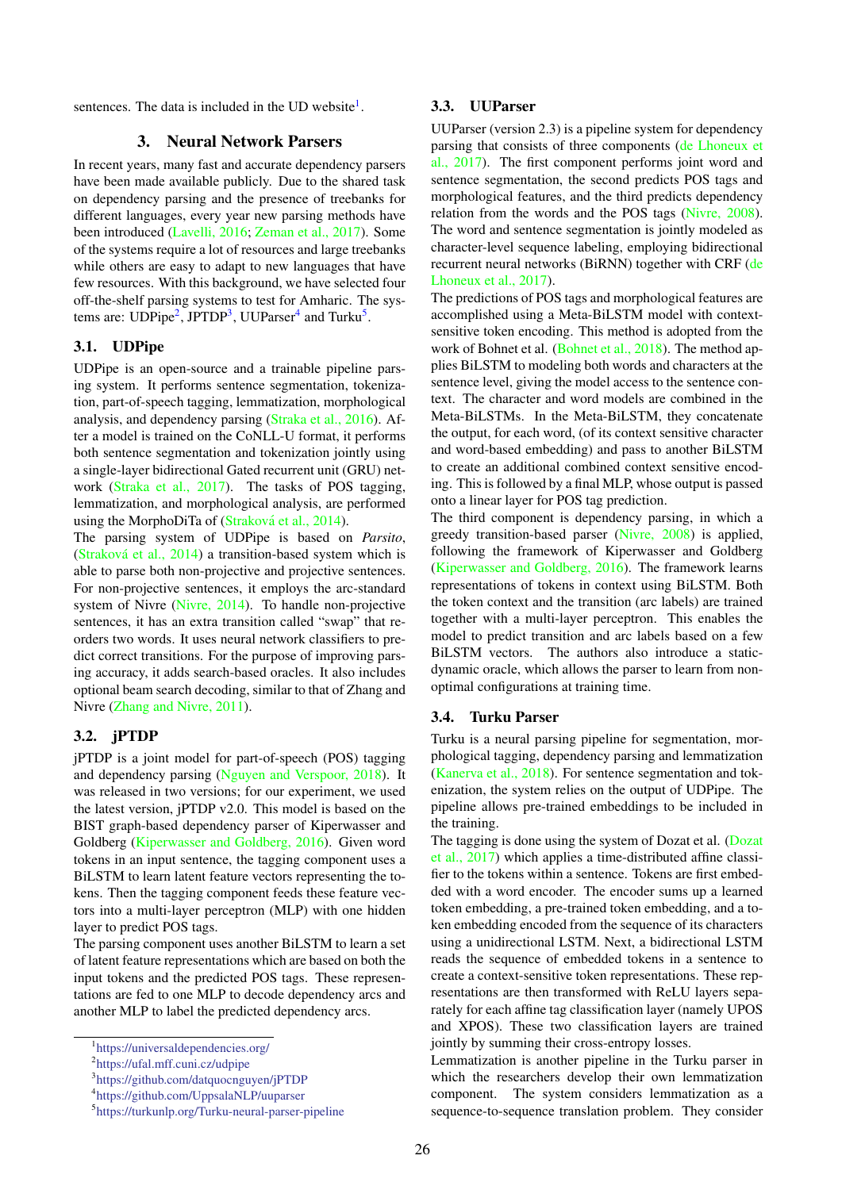sentences. The data is included in the UD website $<sup>1</sup>$  $<sup>1</sup>$  $<sup>1</sup>$ .</sup>

## 3. Neural Network Parsers

In recent years, many fast and accurate dependency parsers have been made available publicly. Due to the shared task on dependency parsing and the presence of treebanks for different languages, every year new parsing methods have been introduced [\(Lavelli, 2016;](#page-4-14) [Zeman et al., 2017\)](#page-5-1). Some of the systems require a lot of resources and large treebanks while others are easy to adapt to new languages that have few resources. With this background, we have selected four off-the-shelf parsing systems to test for Amharic. The sys-tems are: UDPipe<sup>[2](#page-1-1)</sup>, JPTDP<sup>[3](#page-1-2)</sup>, UUParser<sup>[4](#page-1-3)</sup> and Turku<sup>[5](#page-1-4)</sup>.

# 3.1. UDPipe

UDPipe is an open-source and a trainable pipeline parsing system. It performs sentence segmentation, tokenization, part-of-speech tagging, lemmatization, morphological analysis, and dependency parsing [\(Straka et al., 2016\)](#page-4-15). After a model is trained on the CoNLL-U format, it performs both sentence segmentation and tokenization jointly using a single-layer bidirectional Gated recurrent unit (GRU) network [\(Straka et al., 2017\)](#page-4-16). The tasks of POS tagging, lemmatization, and morphological analysis, are performed using the MorphoDiTa of (Straková et al., 2014).

The parsing system of UDPipe is based on *Parsito*, (Straková et al.,  $2014$ ) a transition-based system which is able to parse both non-projective and projective sentences. For non-projective sentences, it employs the arc-standard system of Nivre [\(Nivre, 2014\)](#page-4-17). To handle non-projective sentences, it has an extra transition called "swap" that reorders two words. It uses neural network classifiers to predict correct transitions. For the purpose of improving parsing accuracy, it adds search-based oracles. It also includes optional beam search decoding, similar to that of Zhang and Nivre [\(Zhang and Nivre, 2011\)](#page-5-4).

## 3.2. jPTDP

jPTDP is a joint model for part-of-speech (POS) tagging and dependency parsing [\(Nguyen and Verspoor, 2018\)](#page-4-18). It was released in two versions; for our experiment, we used the latest version, jPTDP v2.0. This model is based on the BIST graph-based dependency parser of Kiperwasser and Goldberg [\(Kiperwasser and Goldberg, 2016\)](#page-4-7). Given word tokens in an input sentence, the tagging component uses a BiLSTM to learn latent feature vectors representing the tokens. Then the tagging component feeds these feature vectors into a multi-layer perceptron (MLP) with one hidden layer to predict POS tags.

The parsing component uses another BiLSTM to learn a set of latent feature representations which are based on both the input tokens and the predicted POS tags. These representations are fed to one MLP to decode dependency arcs and another MLP to label the predicted dependency arcs.

#### 3.3. UUParser

UUParser (version 2.3) is a pipeline system for dependency parsing that consists of three components [\(de Lhoneux et](#page-4-19) [al., 2017\)](#page-4-19). The first component performs joint word and sentence segmentation, the second predicts POS tags and morphological features, and the third predicts dependency relation from the words and the POS tags [\(Nivre, 2008\)](#page-4-20). The word and sentence segmentation is jointly modeled as character-level sequence labeling, employing bidirectional recurrent neural networks (BiRNN) together with CRF [\(de](#page-4-19) [Lhoneux et al., 2017\)](#page-4-19).

The predictions of POS tags and morphological features are accomplished using a Meta-BiLSTM model with contextsensitive token encoding. This method is adopted from the work of Bohnet et al. [\(Bohnet et al., 2018\)](#page-4-21). The method applies BiLSTM to modeling both words and characters at the sentence level, giving the model access to the sentence context. The character and word models are combined in the Meta-BiLSTMs. In the Meta-BiLSTM, they concatenate the output, for each word, (of its context sensitive character and word-based embedding) and pass to another BiLSTM to create an additional combined context sensitive encoding. This is followed by a final MLP, whose output is passed onto a linear layer for POS tag prediction.

The third component is dependency parsing, in which a greedy transition-based parser [\(Nivre, 2008\)](#page-4-20) is applied, following the framework of Kiperwasser and Goldberg [\(Kiperwasser and Goldberg, 2016\)](#page-4-7). The framework learns representations of tokens in context using BiLSTM. Both the token context and the transition (arc labels) are trained together with a multi-layer perceptron. This enables the model to predict transition and arc labels based on a few BiLSTM vectors. The authors also introduce a staticdynamic oracle, which allows the parser to learn from nonoptimal configurations at training time.

## 3.4. Turku Parser

Turku is a neural parsing pipeline for segmentation, morphological tagging, dependency parsing and lemmatization [\(Kanerva et al., 2018\)](#page-4-22). For sentence segmentation and tokenization, the system relies on the output of UDPipe. The pipeline allows pre-trained embeddings to be included in the training.

The tagging is done using the system of Dozat et al. [\(Dozat](#page-4-11) [et al., 2017\)](#page-4-11) which applies a time-distributed affine classifier to the tokens within a sentence. Tokens are first embedded with a word encoder. The encoder sums up a learned token embedding, a pre-trained token embedding, and a token embedding encoded from the sequence of its characters using a unidirectional LSTM. Next, a bidirectional LSTM reads the sequence of embedded tokens in a sentence to create a context-sensitive token representations. These representations are then transformed with ReLU layers separately for each affine tag classification layer (namely UPOS and XPOS). These two classification layers are trained jointly by summing their cross-entropy losses.

Lemmatization is another pipeline in the Turku parser in which the researchers develop their own lemmatization component. The system considers lemmatization as a sequence-to-sequence translation problem. They consider

<span id="page-1-0"></span><sup>1</sup> <https://universaldependencies.org/>

<span id="page-1-1"></span><sup>2</sup> <https://ufal.mff.cuni.cz/udpipe>

<span id="page-1-2"></span><sup>3</sup> <https://github.com/datquocnguyen/jPTDP>

<span id="page-1-3"></span><sup>4</sup> <https://github.com/UppsalaNLP/uuparser>

<span id="page-1-4"></span><sup>5</sup> <https://turkunlp.org/Turku-neural-parser-pipeline>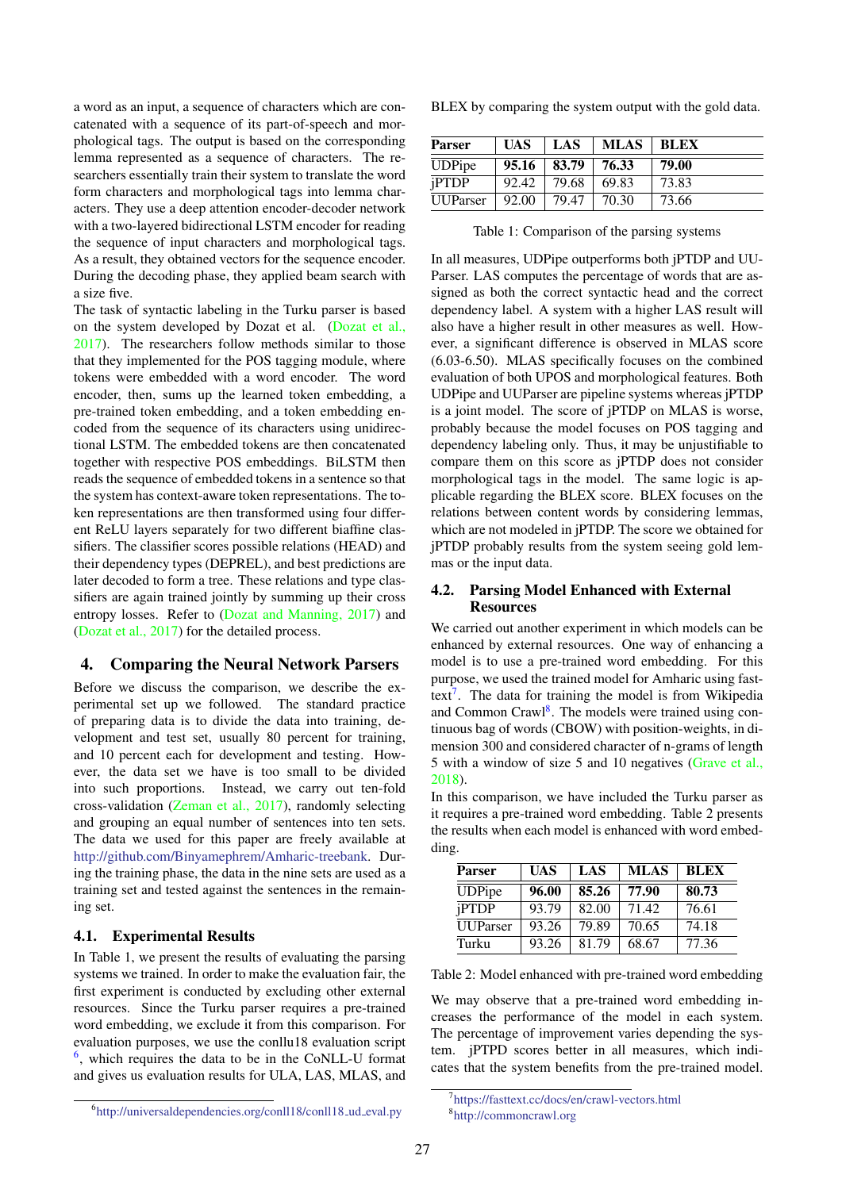a word as an input, a sequence of characters which are concatenated with a sequence of its part-of-speech and morphological tags. The output is based on the corresponding lemma represented as a sequence of characters. The researchers essentially train their system to translate the word form characters and morphological tags into lemma characters. They use a deep attention encoder-decoder network with a two-layered bidirectional LSTM encoder for reading the sequence of input characters and morphological tags. As a result, they obtained vectors for the sequence encoder. During the decoding phase, they applied beam search with a size five.

The task of syntactic labeling in the Turku parser is based on the system developed by Dozat et al. [\(Dozat et al.,](#page-4-11) [2017\)](#page-4-11). The researchers follow methods similar to those that they implemented for the POS tagging module, where tokens were embedded with a word encoder. The word encoder, then, sums up the learned token embedding, a pre-trained token embedding, and a token embedding encoded from the sequence of its characters using unidirectional LSTM. The embedded tokens are then concatenated together with respective POS embeddings. BiLSTM then reads the sequence of embedded tokens in a sentence so that the system has context-aware token representations. The token representations are then transformed using four different ReLU layers separately for two different biaffine classifiers. The classifier scores possible relations (HEAD) and their dependency types (DEPREL), and best predictions are later decoded to form a tree. These relations and type classifiers are again trained jointly by summing up their cross entropy losses. Refer to [\(Dozat and Manning, 2017\)](#page-4-8) and [\(Dozat et al., 2017\)](#page-4-11) for the detailed process.

## 4. Comparing the Neural Network Parsers

Before we discuss the comparison, we describe the experimental set up we followed. The standard practice of preparing data is to divide the data into training, development and test set, usually 80 percent for training, and 10 percent each for development and testing. However, the data set we have is too small to be divided into such proportions. Instead, we carry out ten-fold cross-validation [\(Zeman et al., 2017\)](#page-5-1), randomly selecting and grouping an equal number of sentences into ten sets. The data we used for this paper are freely available at [http://github.com/Binyamephrem/Amharic-treebank.](http://github.com/Binyamephrem/Amharic-treebank) During the training phase, the data in the nine sets are used as a training set and tested against the sentences in the remaining set.

## 4.1. Experimental Results

In Table 1, we present the results of evaluating the parsing systems we trained. In order to make the evaluation fair, the first experiment is conducted by excluding other external resources. Since the Turku parser requires a pre-trained word embedding, we exclude it from this comparison. For evaluation purposes, we use the conllu18 evaluation script  $<sup>6</sup>$  $<sup>6</sup>$  $<sup>6</sup>$ , which requires the data to be in the CoNLL-U format</sup> and gives us evaluation results for ULA, LAS, MLAS, and

BLEX by comparing the system output with the gold data.

| <b>Parser</b>   | <b>UAS</b> | LAS   | <b>MLAS</b> | <b>BLEX</b> |
|-----------------|------------|-------|-------------|-------------|
| <b>UDPipe</b>   | 95.16      | 83.79 | 76.33       | 79.00       |
| <i>iPTDP</i>    | 92.42      | 79.68 | 69.83       | 73.83       |
| <b>UUParser</b> | 92.00      | 79.47 | 70.30       | 73.66       |

Table 1: Comparison of the parsing systems

In all measures, UDPipe outperforms both jPTDP and UU-Parser. LAS computes the percentage of words that are assigned as both the correct syntactic head and the correct dependency label. A system with a higher LAS result will also have a higher result in other measures as well. However, a significant difference is observed in MLAS score (6.03-6.50). MLAS specifically focuses on the combined evaluation of both UPOS and morphological features. Both UDPipe and UUParser are pipeline systems whereas jPTDP is a joint model. The score of jPTDP on MLAS is worse, probably because the model focuses on POS tagging and dependency labeling only. Thus, it may be unjustifiable to compare them on this score as jPTDP does not consider morphological tags in the model. The same logic is applicable regarding the BLEX score. BLEX focuses on the relations between content words by considering lemmas, which are not modeled in jPTDP. The score we obtained for jPTDP probably results from the system seeing gold lemmas or the input data.

## 4.2. Parsing Model Enhanced with External **Resources**

We carried out another experiment in which models can be enhanced by external resources. One way of enhancing a model is to use a pre-trained word embedding. For this purpose, we used the trained model for Amharic using fast-text<sup>[7](#page-2-1)</sup>. The data for training the model is from Wikipedia and Common Crawl<sup>[8](#page-2-2)</sup>. The models were trained using continuous bag of words (CBOW) with position-weights, in dimension 300 and considered character of n-grams of length 5 with a window of size 5 and 10 negatives [\(Grave et al.,](#page-4-23) [2018\)](#page-4-23).

In this comparison, we have included the Turku parser as it requires a pre-trained word embedding. Table 2 presents the results when each model is enhanced with word embedding.

| <b>Parser</b>   | <b>UAS</b> | LAS   | <b>MLAS</b> | <b>BLEX</b> |
|-----------------|------------|-------|-------------|-------------|
| <b>UDPipe</b>   | 96.00      | 85.26 | 77.90       | 80.73       |
| jPTDP           | 93.79      | 82.00 | 71.42       | 76.61       |
| <b>UUParser</b> | 93.26      | 79.89 | 70.65       | 74.18       |
| Turku           | 93.26      | 81.79 | 68.67       | 77.36       |

Table 2: Model enhanced with pre-trained word embedding

We may observe that a pre-trained word embedding increases the performance of the model in each system. The percentage of improvement varies depending the system. jPTPD scores better in all measures, which indicates that the system benefits from the pre-trained model.

<span id="page-2-0"></span><sup>&</sup>lt;sup>6</sup>[http://universaldependencies.org/conll18/conll18](http://universaldependencies.org/conll18/conll18_ud_eval.py)\_ud\_eval.py

<span id="page-2-2"></span><span id="page-2-1"></span><sup>7</sup> <https://fasttext.cc/docs/en/crawl-vectors.html> 8 <http://commoncrawl.org>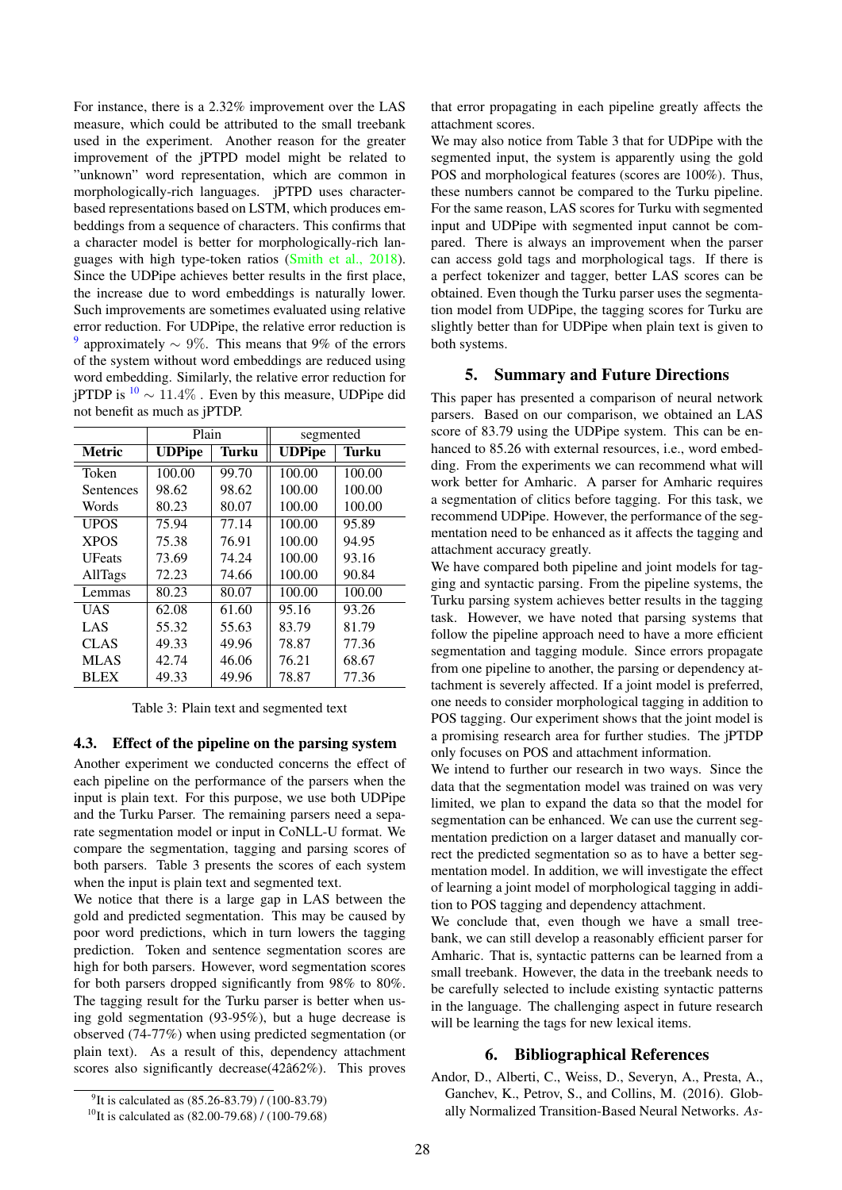For instance, there is a 2.32% improvement over the LAS measure, which could be attributed to the small treebank used in the experiment. Another reason for the greater improvement of the jPTPD model might be related to "unknown" word representation, which are common in morphologically-rich languages. jPTPD uses characterbased representations based on LSTM, which produces embeddings from a sequence of characters. This confirms that a character model is better for morphologically-rich languages with high type-token ratios [\(Smith et al., 2018\)](#page-4-24). Since the UDPipe achieves better results in the first place, the increase due to word embeddings is naturally lower. Such improvements are sometimes evaluated using relative error reduction. For UDPipe, the relative error reduction is <sup>[9](#page-3-1)</sup> approximately  $\sim 9\%$ . This means that 9% of the errors of the system without word embeddings are reduced using word embedding. Similarly, the relative error reduction for jPTDP is  $10 \sim 11.4\%$  $10 \sim 11.4\%$ . Even by this measure, UDPipe did not benefit as much as jPTDP.

|               | Plain         |       | segmented     |        |
|---------------|---------------|-------|---------------|--------|
| <b>Metric</b> | <b>UDPipe</b> | Turku | <b>UDPipe</b> | Turku  |
| Token         | 100.00        | 99.70 | 100.00        | 100.00 |
| Sentences     | 98.62         | 98.62 | 100.00        | 100.00 |
| Words         | 80.23         | 80.07 | 100.00        | 100.00 |
| <b>UPOS</b>   | 75.94         | 77.14 | 100.00        | 95.89  |
| <b>XPOS</b>   | 75.38         | 76.91 | 100.00        | 94.95  |
| <b>UFeats</b> | 73.69         | 74.24 | 100.00        | 93.16  |
| AllTags       | 72.23         | 74.66 | 100.00        | 90.84  |
| Lemmas        | 80.23         | 80.07 | 100.00        | 100.00 |
| UAS           | 62.08         | 61.60 | 95.16         | 93.26  |
| LAS           | 55.32         | 55.63 | 83.79         | 81.79  |
| <b>CLAS</b>   | 49.33         | 49.96 | 78.87         | 77.36  |
| <b>MLAS</b>   | 42.74         | 46.06 | 76.21         | 68.67  |
| <b>BLEX</b>   | 49.33         | 49.96 | 78.87         | 77.36  |

Table 3: Plain text and segmented text

#### 4.3. Effect of the pipeline on the parsing system

Another experiment we conducted concerns the effect of each pipeline on the performance of the parsers when the input is plain text. For this purpose, we use both UDPipe and the Turku Parser. The remaining parsers need a separate segmentation model or input in CoNLL-U format. We compare the segmentation, tagging and parsing scores of both parsers. Table 3 presents the scores of each system when the input is plain text and segmented text.

We notice that there is a large gap in LAS between the gold and predicted segmentation. This may be caused by poor word predictions, which in turn lowers the tagging prediction. Token and sentence segmentation scores are high for both parsers. However, word segmentation scores for both parsers dropped significantly from 98% to 80%. The tagging result for the Turku parser is better when using gold segmentation (93-95%), but a huge decrease is observed (74-77%) when using predicted segmentation (or plain text). As a result of this, dependency attachment scores also significantly decrease( $42â62%$ ). This proves that error propagating in each pipeline greatly affects the attachment scores.

We may also notice from Table 3 that for UDPipe with the segmented input, the system is apparently using the gold POS and morphological features (scores are 100%). Thus, these numbers cannot be compared to the Turku pipeline. For the same reason, LAS scores for Turku with segmented input and UDPipe with segmented input cannot be compared. There is always an improvement when the parser can access gold tags and morphological tags. If there is a perfect tokenizer and tagger, better LAS scores can be obtained. Even though the Turku parser uses the segmentation model from UDPipe, the tagging scores for Turku are slightly better than for UDPipe when plain text is given to both systems.

## 5. Summary and Future Directions

This paper has presented a comparison of neural network parsers. Based on our comparison, we obtained an LAS score of 83.79 using the UDPipe system. This can be enhanced to 85.26 with external resources, i.e., word embedding. From the experiments we can recommend what will work better for Amharic. A parser for Amharic requires a segmentation of clitics before tagging. For this task, we recommend UDPipe. However, the performance of the segmentation need to be enhanced as it affects the tagging and attachment accuracy greatly.

We have compared both pipeline and joint models for tagging and syntactic parsing. From the pipeline systems, the Turku parsing system achieves better results in the tagging task. However, we have noted that parsing systems that follow the pipeline approach need to have a more efficient segmentation and tagging module. Since errors propagate from one pipeline to another, the parsing or dependency attachment is severely affected. If a joint model is preferred, one needs to consider morphological tagging in addition to POS tagging. Our experiment shows that the joint model is a promising research area for further studies. The jPTDP only focuses on POS and attachment information.

We intend to further our research in two ways. Since the data that the segmentation model was trained on was very limited, we plan to expand the data so that the model for segmentation can be enhanced. We can use the current segmentation prediction on a larger dataset and manually correct the predicted segmentation so as to have a better segmentation model. In addition, we will investigate the effect of learning a joint model of morphological tagging in addition to POS tagging and dependency attachment.

We conclude that, even though we have a small treebank, we can still develop a reasonably efficient parser for Amharic. That is, syntactic patterns can be learned from a small treebank. However, the data in the treebank needs to be carefully selected to include existing syntactic patterns in the language. The challenging aspect in future research will be learning the tags for new lexical items.

# 6. Bibliographical References

<span id="page-3-0"></span>Andor, D., Alberti, C., Weiss, D., Severyn, A., Presta, A., Ganchev, K., Petrov, S., and Collins, M. (2016). Globally Normalized Transition-Based Neural Networks. *As-*

<span id="page-3-1"></span><sup>&</sup>lt;sup>9</sup>It is calculated as (85.26-83.79) / (100-83.79)

<span id="page-3-2"></span><sup>&</sup>lt;sup>10</sup>It is calculated as  $(82.00-79.68)$  /  $(100-79.68)$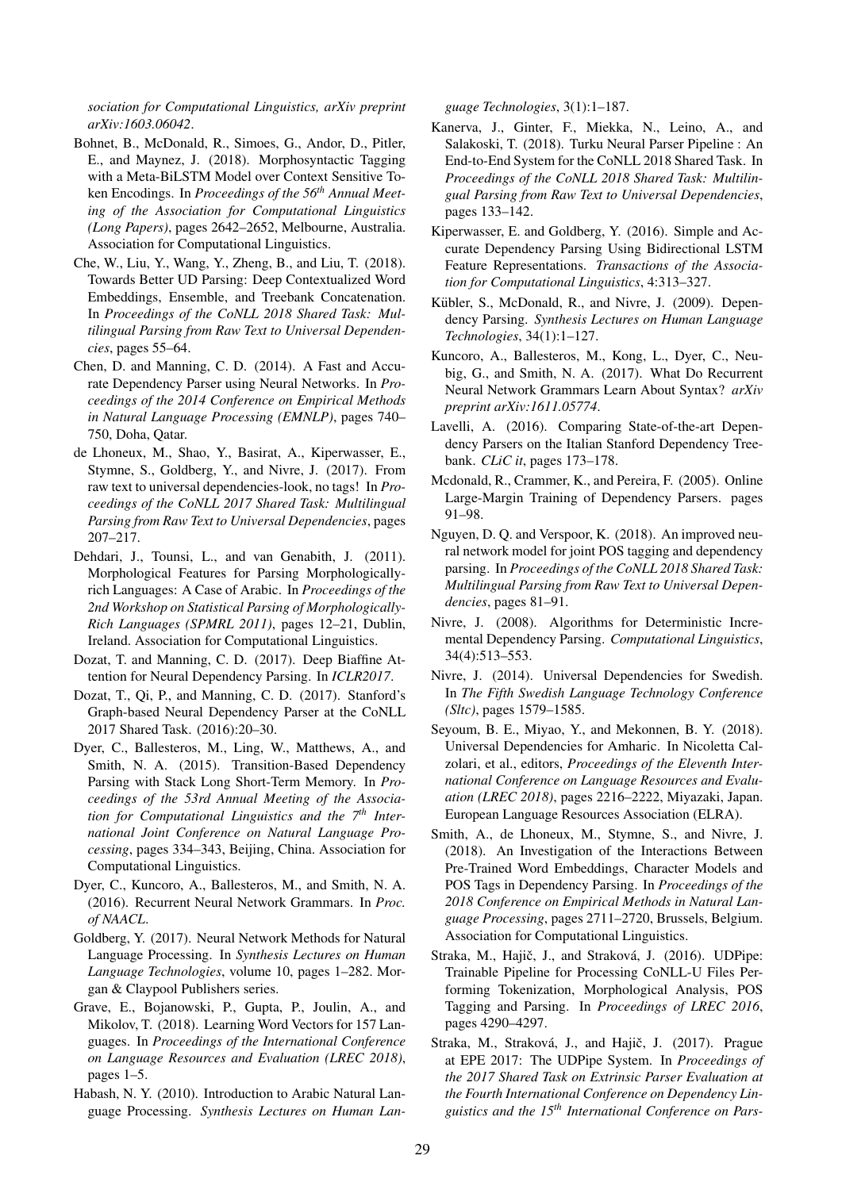*sociation for Computational Linguistics, arXiv preprint arXiv:1603.06042*.

- <span id="page-4-21"></span>Bohnet, B., McDonald, R., Simoes, G., Andor, D., Pitler, E., and Maynez, J. (2018). Morphosyntactic Tagging with a Meta-BiLSTM Model over Context Sensitive Token Encodings. In *Proceedings of the 56th Annual Meeting of the Association for Computational Linguistics (Long Papers)*, pages 2642–2652, Melbourne, Australia. Association for Computational Linguistics.
- <span id="page-4-12"></span>Che, W., Liu, Y., Wang, Y., Zheng, B., and Liu, T. (2018). Towards Better UD Parsing: Deep Contextualized Word Embeddings, Ensemble, and Treebank Concatenation. In *Proceedings of the CoNLL 2018 Shared Task: Multilingual Parsing from Raw Text to Universal Dependencies*, pages 55–64.
- <span id="page-4-5"></span>Chen, D. and Manning, C. D. (2014). A Fast and Accurate Dependency Parser using Neural Networks. In *Proceedings of the 2014 Conference on Empirical Methods in Natural Language Processing (EMNLP)*, pages 740– 750, Doha, Qatar.
- <span id="page-4-19"></span>de Lhoneux, M., Shao, Y., Basirat, A., Kiperwasser, E., Stymne, S., Goldberg, Y., and Nivre, J. (2017). From raw text to universal dependencies-look, no tags! In *Proceedings of the CoNLL 2017 Shared Task: Multilingual Parsing from Raw Text to Universal Dependencies*, pages 207–217.
- <span id="page-4-2"></span>Dehdari, J., Tounsi, L., and van Genabith, J. (2011). Morphological Features for Parsing Morphologicallyrich Languages: A Case of Arabic. In *Proceedings of the 2nd Workshop on Statistical Parsing of Morphologically-Rich Languages (SPMRL 2011)*, pages 12–21, Dublin, Ireland. Association for Computational Linguistics.
- <span id="page-4-8"></span>Dozat, T. and Manning, C. D. (2017). Deep Biaffine Attention for Neural Dependency Parsing. In *ICLR2017*.
- <span id="page-4-11"></span>Dozat, T., Qi, P., and Manning, C. D. (2017). Stanford's Graph-based Neural Dependency Parser at the CoNLL 2017 Shared Task. (2016):20–30.
- <span id="page-4-6"></span>Dyer, C., Ballesteros, M., Ling, W., Matthews, A., and Smith, N. A. (2015). Transition-Based Dependency Parsing with Stack Long Short-Term Memory. In *Proceedings of the 53rd Annual Meeting of the Association for Computational Linguistics and the 7th International Joint Conference on Natural Language Processing*, pages 334–343, Beijing, China. Association for Computational Linguistics.
- <span id="page-4-9"></span>Dyer, C., Kuncoro, A., Ballesteros, M., and Smith, N. A. (2016). Recurrent Neural Network Grammars. In *Proc. of NAACL*.
- <span id="page-4-4"></span>Goldberg, Y. (2017). Neural Network Methods for Natural Language Processing. In *Synthesis Lectures on Human Language Technologies*, volume 10, pages 1–282. Morgan & Claypool Publishers series.
- <span id="page-4-23"></span>Grave, E., Bojanowski, P., Gupta, P., Joulin, A., and Mikolov, T. (2018). Learning Word Vectors for 157 Languages. In *Proceedings of the International Conference on Language Resources and Evaluation (LREC 2018)*, pages 1–5.
- <span id="page-4-3"></span>Habash, N. Y. (2010). Introduction to Arabic Natural Language Processing. *Synthesis Lectures on Human Lan-*

*guage Technologies*, 3(1):1–187.

- <span id="page-4-22"></span>Kanerva, J., Ginter, F., Miekka, N., Leino, A., and Salakoski, T. (2018). Turku Neural Parser Pipeline : An End-to-End System for the CoNLL 2018 Shared Task. In *Proceedings of the CoNLL 2018 Shared Task: Multilingual Parsing from Raw Text to Universal Dependencies*, pages 133–142.
- <span id="page-4-7"></span>Kiperwasser, E. and Goldberg, Y. (2016). Simple and Accurate Dependency Parsing Using Bidirectional LSTM Feature Representations. *Transactions of the Association for Computational Linguistics*, 4:313–327.
- <span id="page-4-0"></span>Kübler, S., McDonald, R., and Nivre, J. (2009). Dependency Parsing. *Synthesis Lectures on Human Language Technologies*, 34(1):1–127.
- <span id="page-4-10"></span>Kuncoro, A., Ballesteros, M., Kong, L., Dyer, C., Neubig, G., and Smith, N. A. (2017). What Do Recurrent Neural Network Grammars Learn About Syntax? *arXiv preprint arXiv:1611.05774*.
- <span id="page-4-14"></span>Lavelli, A. (2016). Comparing State-of-the-art Dependency Parsers on the Italian Stanford Dependency Treebank. *CLiC it*, pages 173–178.
- <span id="page-4-1"></span>Mcdonald, R., Crammer, K., and Pereira, F. (2005). Online Large-Margin Training of Dependency Parsers. pages 91–98.
- <span id="page-4-18"></span>Nguyen, D. Q. and Verspoor, K. (2018). An improved neural network model for joint POS tagging and dependency parsing. In *Proceedings of the CoNLL 2018 Shared Task: Multilingual Parsing from Raw Text to Universal Dependencies*, pages 81–91.
- <span id="page-4-20"></span>Nivre, J. (2008). Algorithms for Deterministic Incremental Dependency Parsing. *Computational Linguistics*, 34(4):513–553.
- <span id="page-4-17"></span>Nivre, J. (2014). Universal Dependencies for Swedish. In *The Fifth Swedish Language Technology Conference (Sltc)*, pages 1579–1585.
- <span id="page-4-13"></span>Seyoum, B. E., Miyao, Y., and Mekonnen, B. Y. (2018). Universal Dependencies for Amharic. In Nicoletta Calzolari, et al., editors, *Proceedings of the Eleventh International Conference on Language Resources and Evaluation (LREC 2018)*, pages 2216–2222, Miyazaki, Japan. European Language Resources Association (ELRA).
- <span id="page-4-24"></span>Smith, A., de Lhoneux, M., Stymne, S., and Nivre, J. (2018). An Investigation of the Interactions Between Pre-Trained Word Embeddings, Character Models and POS Tags in Dependency Parsing. In *Proceedings of the 2018 Conference on Empirical Methods in Natural Language Processing*, pages 2711–2720, Brussels, Belgium. Association for Computational Linguistics.
- <span id="page-4-15"></span>Straka, M., Hajič, J., and Straková, J. (2016). UDPipe: Trainable Pipeline for Processing CoNLL-U Files Performing Tokenization, Morphological Analysis, POS Tagging and Parsing. In *Proceedings of LREC 2016*, pages 4290–4297.
- <span id="page-4-16"></span>Straka, M., Straková, J., and Hajič, J. (2017). Prague at EPE 2017: The UDPipe System. In *Proceedings of the 2017 Shared Task on Extrinsic Parser Evaluation at the Fourth International Conference on Dependency Linguistics and the 15th International Conference on Pars-*